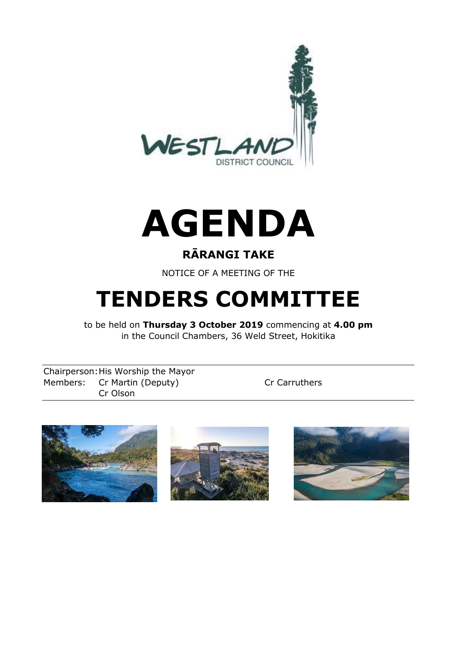



### **RĀRANGI TAKE**

NOTICE OF A MEETING OF THE

# **TENDERS COMMITTEE**

to be held on **Thursday 3 October 2019** commencing at **4.00 pm** in the Council Chambers, 36 Weld Street, Hokitika

Chairperson:His Worship the Mayor Members: Cr Martin (Deputy) Cr Carruthers Cr Olson





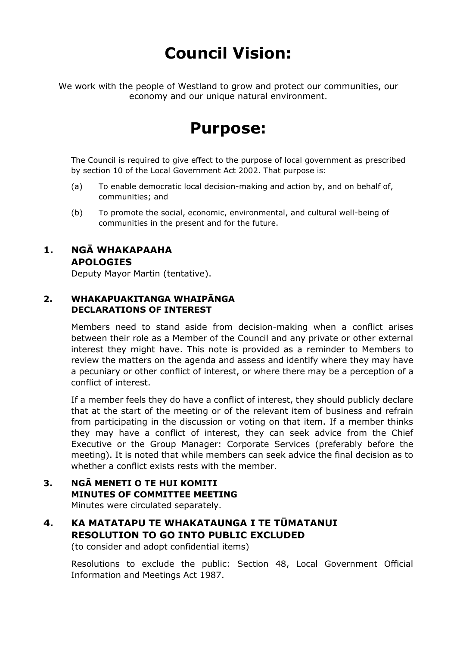## **Council Vision:**

We work with the people of Westland to grow and protect our communities, our economy and our unique natural environment.

### **Purpose:**

The Council is required to give effect to the purpose of local government as prescribed by section 10 of the Local Government Act 2002. That purpose is:

- (a) To enable democratic local decision-making and action by, and on behalf of, communities; and
- (b) To promote the social, economic, environmental, and cultural well-being of communities in the present and for the future.

### **1. NGĀ WHAKAPAAHA APOLOGIES**

Deputy Mayor Martin (tentative).

### **2. WHAKAPUAKITANGA WHAIPĀNGA DECLARATIONS OF INTEREST**

Members need to stand aside from decision-making when a conflict arises between their role as a Member of the Council and any private or other external interest they might have. This note is provided as a reminder to Members to review the matters on the agenda and assess and identify where they may have a pecuniary or other conflict of interest, or where there may be a perception of a conflict of interest.

If a member feels they do have a conflict of interest, they should publicly declare that at the start of the meeting or of the relevant item of business and refrain from participating in the discussion or voting on that item. If a member thinks they may have a conflict of interest, they can seek advice from the Chief Executive or the Group Manager: Corporate Services (preferably before the meeting). It is noted that while members can seek advice the final decision as to whether a conflict exists rests with the member.

#### **3. NGĀ MENETI O TE HUI KOMITI MINUTES OF COMMITTEE MEETING** Minutes were circulated separately.

**4. KA MATATAPU TE WHAKATAUNGA I TE TŪMATANUI RESOLUTION TO GO INTO PUBLIC EXCLUDED**  (to consider and adopt confidential items)

Resolutions to exclude the public: Section 48, Local Government Official Information and Meetings Act 1987.